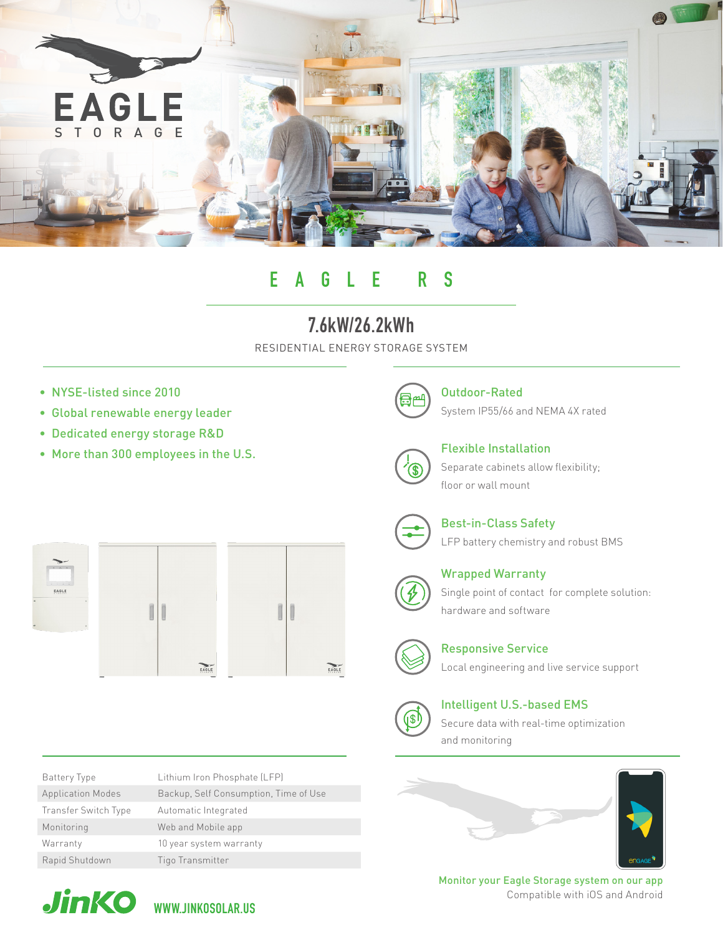

# EAGLE RS

## 7.6kW/26.2kWh

RESIDENTIAL ENERGY STORAGE SYSTEM

- NYSE-listed since 2010
- Global renewable energy leader
- Dedicated energy storage R&D
- More than 300 employees in the U.S.



Outdoor-Rated System IP55/66 and NEMA 4X rated



Flexible Installation



Separate cabinets allow flexibility; floor or wall mount



Best-in-Class Safety LFP battery chemistry and robust BMS



EAGLE





| Battery Type             | Lithium Iron Phosphate (LFP)          |
|--------------------------|---------------------------------------|
| <b>Application Modes</b> | Backup, Self Consumption, Time of Use |
| Transfer Switch Type     | Automatic Integrated                  |
| Monitoring               | Web and Mobile app                    |
| Warranty                 | 10 year system warranty               |
| Rapid Shutdown           | Tigo Transmitter                      |



Wrapped Warranty Single point of contact for complete solution: hardware and software



Responsive Service

Local engineering and live service support



Intelligent U.S.-based EMS

Secure data with real-time optimization and monitoring





Monitor your Eagle Storage system on our app Compatible with iOS and Android